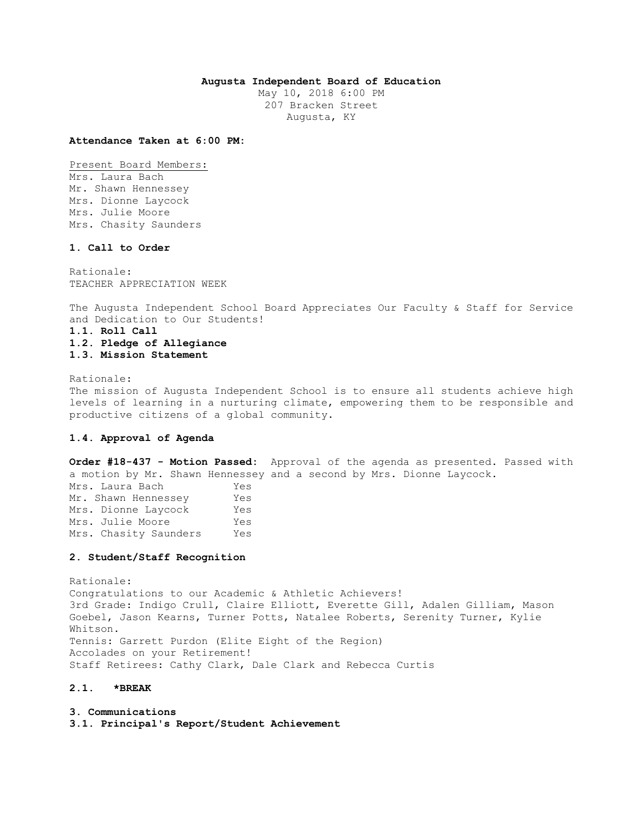## **Augusta Independent Board of Education**

May 10, 2018 6:00 PM 207 Bracken Street Augusta, KY

**Attendance Taken at 6:00 PM:**

Present Board Members: Mrs. Laura Bach Mr. Shawn Hennessey Mrs. Dionne Laycock Mrs. Julie Moore Mrs. Chasity Saunders

# **1. Call to Order**

Rationale: TEACHER APPRECIATION WEEK

The Augusta Independent School Board Appreciates Our Faculty & Staff for Service and Dedication to Our Students!

**1.1. Roll Call** 

**1.2. Pledge of Allegiance 1.3. Mission Statement** 

Rationale: The mission of Augusta Independent School is to ensure all students achieve high levels of learning in a nurturing climate, empowering them to be responsible and productive citizens of a global community.

# **1.4. Approval of Agenda**

**Order #18-437 - Motion Passed:** Approval of the agenda as presented. Passed with a motion by Mr. Shawn Hennessey and a second by Mrs. Dionne Laycock. Mrs. Laura Bach Yes Mr. Shawn Hennessey Yes Mrs. Dionne Laycock Yes

Mrs. Julie Moore Yes Mrs. Chasity Saunders Yes

## **2. Student/Staff Recognition**

Rationale: Congratulations to our Academic & Athletic Achievers! 3rd Grade: Indigo Crull, Claire Elliott, Everette Gill, Adalen Gilliam, Mason Goebel, Jason Kearns, Turner Potts, Natalee Roberts, Serenity Turner, Kylie Whitson. Tennis: Garrett Purdon (Elite Eight of the Region) Accolades on your Retirement! Staff Retirees: Cathy Clark, Dale Clark and Rebecca Curtis

# **2.1. \*BREAK**

**3. Communications 3.1. Principal's Report/Student Achievement**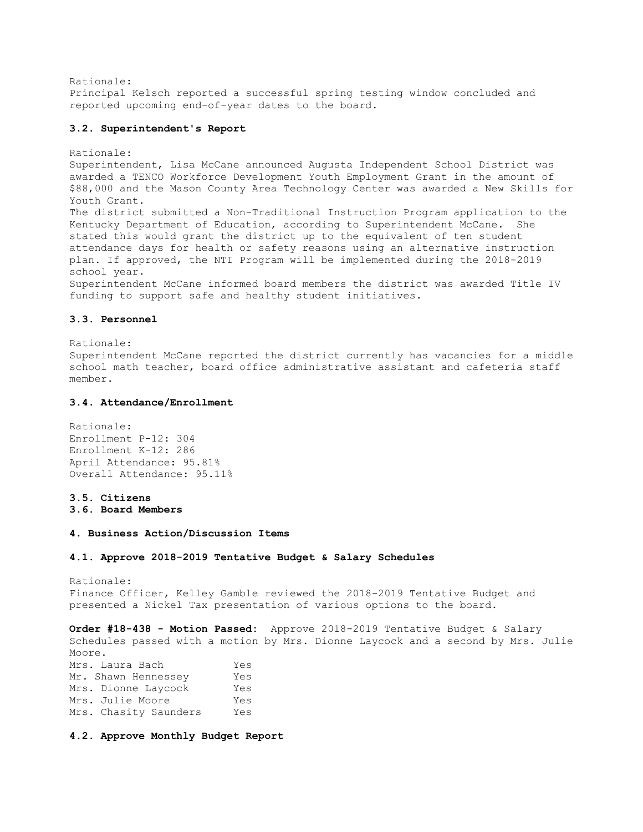Rationale:

Principal Kelsch reported a successful spring testing window concluded and reported upcoming end-of-year dates to the board.

## **3.2. Superintendent's Report**

Rationale: Superintendent, Lisa McCane announced Augusta Independent School District was awarded a TENCO Workforce Development Youth Employment Grant in the amount of \$88,000 and the Mason County Area Technology Center was awarded a New Skills for Youth Grant. The district submitted a Non-Traditional Instruction Program application to the Kentucky Department of Education, according to Superintendent McCane. She stated this would grant the district up to the equivalent of ten student attendance days for health or safety reasons using an alternative instruction plan. If approved, the NTI Program will be implemented during the 2018-2019 school year. Superintendent McCane informed board members the district was awarded Title IV funding to support safe and healthy student initiatives.

## **3.3. Personnel**

Rationale: Superintendent McCane reported the district currently has vacancies for a middle school math teacher, board office administrative assistant and cafeteria staff member.

# **3.4. Attendance/Enrollment**

Rationale: Enrollment P-12: 304 Enrollment K-12: 286 April Attendance: 95.81% Overall Attendance: 95.11%

# **3.5. Citizens**

**3.6. Board Members** 

# **4. Business Action/Discussion Items**

#### **4.1. Approve 2018-2019 Tentative Budget & Salary Schedules**

Rationale: Finance Officer, Kelley Gamble reviewed the 2018-2019 Tentative Budget and presented a Nickel Tax presentation of various options to the board.

**Order #18-438 - Motion Passed:** Approve 2018-2019 Tentative Budget & Salary Schedules passed with a motion by Mrs. Dionne Laycock and a second by Mrs. Julie Moore. Mrs. Laura Bach Yes Mr. Shawn Hennessey Yes Mrs. Dionne Laycock Yes Mrs. Julie Moore Yes Mrs. Chasity Saunders Yes

# **4.2. Approve Monthly Budget Report**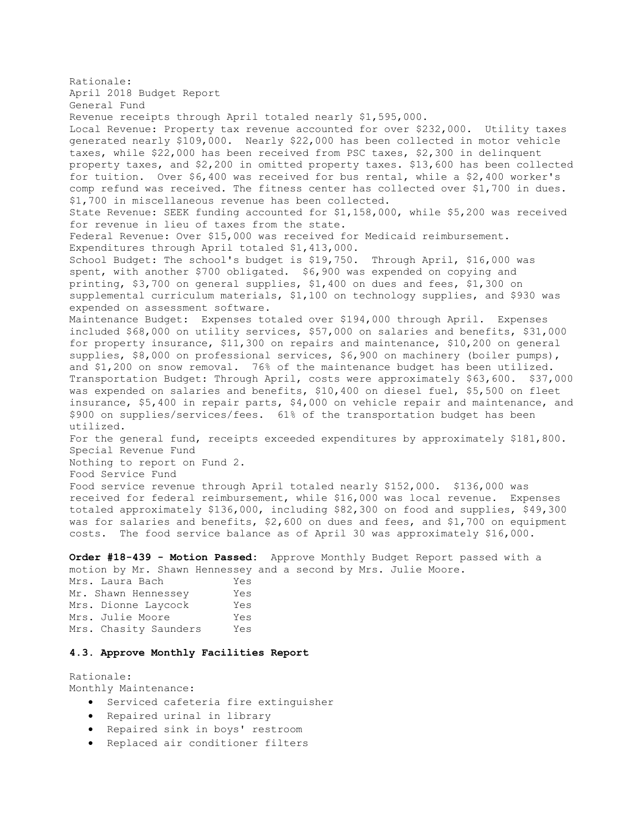Rationale: April 2018 Budget Report General Fund Revenue receipts through April totaled nearly \$1,595,000. Local Revenue: Property tax revenue accounted for over \$232,000. Utility taxes generated nearly \$109,000. Nearly \$22,000 has been collected in motor vehicle taxes, while \$22,000 has been received from PSC taxes, \$2,300 in delinquent property taxes, and \$2,200 in omitted property taxes. \$13,600 has been collected for tuition. Over \$6,400 was received for bus rental, while a \$2,400 worker's comp refund was received. The fitness center has collected over \$1,700 in dues. \$1,700 in miscellaneous revenue has been collected. State Revenue: SEEK funding accounted for \$1,158,000, while \$5,200 was received for revenue in lieu of taxes from the state. Federal Revenue: Over \$15,000 was received for Medicaid reimbursement. Expenditures through April totaled \$1,413,000. School Budget: The school's budget is \$19,750. Through April, \$16,000 was spent, with another \$700 obligated. \$6,900 was expended on copying and printing, \$3,700 on general supplies, \$1,400 on dues and fees, \$1,300 on supplemental curriculum materials, \$1,100 on technology supplies, and \$930 was expended on assessment software. Maintenance Budget: Expenses totaled over \$194,000 through April. Expenses included \$68,000 on utility services, \$57,000 on salaries and benefits, \$31,000 for property insurance, \$11,300 on repairs and maintenance, \$10,200 on general supplies, \$8,000 on professional services, \$6,900 on machinery (boiler pumps), and \$1,200 on snow removal. 76% of the maintenance budget has been utilized. Transportation Budget: Through April, costs were approximately \$63,600. \$37,000 was expended on salaries and benefits, \$10,400 on diesel fuel, \$5,500 on fleet insurance, \$5,400 in repair parts, \$4,000 on vehicle repair and maintenance, and \$900 on supplies/services/fees. 61% of the transportation budget has been utilized. For the general fund, receipts exceeded expenditures by approximately \$181,800. Special Revenue Fund Nothing to report on Fund 2. Food Service Fund Food service revenue through April totaled nearly \$152,000. \$136,000 was received for federal reimbursement, while \$16,000 was local revenue. Expenses totaled approximately \$136,000, including \$82,300 on food and supplies, \$49,300 was for salaries and benefits, \$2,600 on dues and fees, and \$1,700 on equipment costs. The food service balance as of April 30 was approximately \$16,000.

**Order #18-439 - Motion Passed:** Approve Monthly Budget Report passed with a motion by Mr. Shawn Hennessey and a second by Mrs. Julie Moore.

Mrs. Laura Bach Yes Mr. Shawn Hennessey Yes Mrs. Dionne Laycock Yes Mrs. Julie Moore Yes Mrs. Chasity Saunders Yes

# **4.3. Approve Monthly Facilities Report**

Rationale: Monthly Maintenance:

- Serviced cafeteria fire extinguisher
- Repaired urinal in library
- Repaired sink in boys' restroom
- Replaced air conditioner filters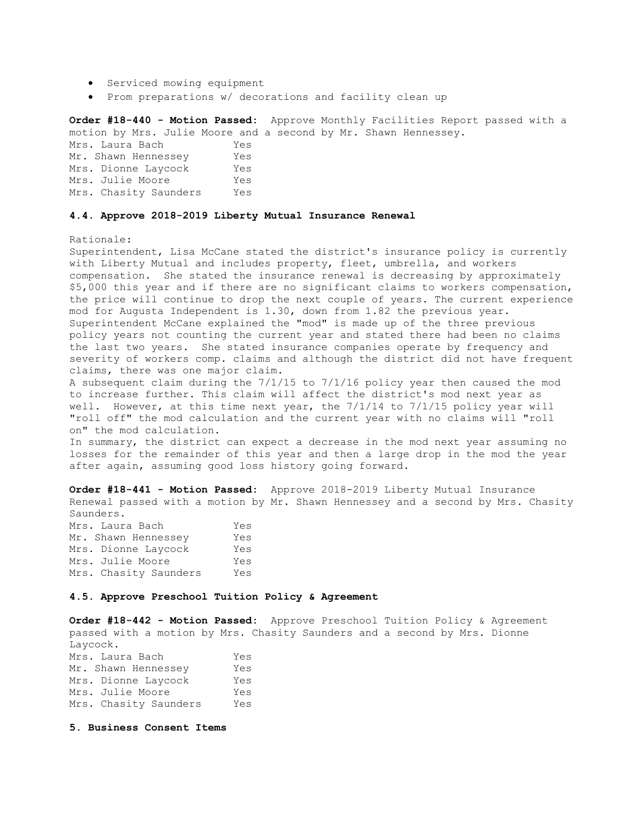- Serviced mowing equipment
- Prom preparations w/ decorations and facility clean up

**Order #18-440 - Motion Passed:** Approve Monthly Facilities Report passed with a motion by Mrs. Julie Moore and a second by Mr. Shawn Hennessey.

| Mrs. Laura Bach       | Yes |
|-----------------------|-----|
| Mr. Shawn Hennessey   | Yes |
| Mrs. Dionne Laycock   | Yes |
| Mrs. Julie Moore      | Yes |
| Mrs. Chasity Saunders | Yes |

#### **4.4. Approve 2018-2019 Liberty Mutual Insurance Renewal**

Rationale:

Superintendent, Lisa McCane stated the district's insurance policy is currently with Liberty Mutual and includes property, fleet, umbrella, and workers compensation. She stated the insurance renewal is decreasing by approximately \$5,000 this year and if there are no significant claims to workers compensation, the price will continue to drop the next couple of years. The current experience mod for Augusta Independent is 1.30, down from 1.82 the previous year. Superintendent McCane explained the "mod" is made up of the three previous policy years not counting the current year and stated there had been no claims the last two years. She stated insurance companies operate by frequency and severity of workers comp. claims and although the district did not have frequent claims, there was one major claim.

A subsequent claim during the 7/1/15 to 7/1/16 policy year then caused the mod to increase further. This claim will affect the district's mod next year as well. However, at this time next year, the 7/1/14 to 7/1/15 policy year will "roll off" the mod calculation and the current year with no claims will "roll on" the mod calculation.

In summary, the district can expect a decrease in the mod next year assuming no losses for the remainder of this year and then a large drop in the mod the year after again, assuming good loss history going forward.

**Order #18-441 - Motion Passed:** Approve 2018-2019 Liberty Mutual Insurance Renewal passed with a motion by Mr. Shawn Hennessey and a second by Mrs. Chasity Saunders.

| Mrs. Laura Bach       | Yes |
|-----------------------|-----|
| Mr. Shawn Hennessey   | Yes |
| Mrs. Dionne Laycock   | Yes |
| Mrs. Julie Moore      | Yes |
| Mrs. Chasity Saunders | Yes |

## **4.5. Approve Preschool Tuition Policy & Agreement**

**Order #18-442 - Motion Passed:** Approve Preschool Tuition Policy & Agreement passed with a motion by Mrs. Chasity Saunders and a second by Mrs. Dionne Laycock. Mrs. Laura Bach Yes

| Mr. Shawn Hennessey   | Yes |
|-----------------------|-----|
| Mrs. Dionne Laycock   | Yes |
| Mrs. Julie Moore      | Yes |
| Mrs. Chasity Saunders | Yes |

**5. Business Consent Items**